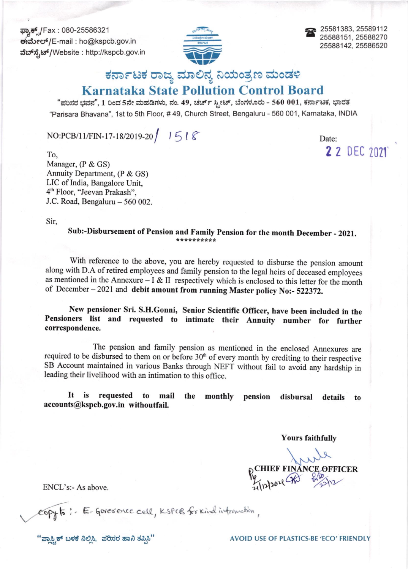ಫ್ಯಾಕ್ಸ್/Fax : 080-25586321 ಈಮೇಲ್/E-mail : ho@kspcb.gov.in ವೆಬ್ ಸೆ,ಟ್/Website : http://kspcb.gov.in



a 25581383, 25589112 25588151 , 25588270 25588142, 25586520

z 2 DEC <sup>2021</sup>

## ಕರ್ನಾಟಕ ರಾಜ್ಯ ಮಾಲಿನ್ಯ ನಿಯಂತ್ರಣ ಮಂಡಳಿ

## Karnataka State Pollution Control Board

"ಪರಿಸರ ಭವನ", 1 ರಿಂದ 5ನೇ ಮಹಡಿಗಳು, ನಂ. 49, ಚರ್ಚ್ ಸ್ಟೀಟ್, ಬೆಂಗಳೂರು - 560 001, ಕರ್ನಾಟಕ, ಭಾರತ "Parisara Bhavana", 1st to Sth Floor, # 49, Church Street, Bengaluru - 560 001 , Karnataka, INDIA

## $NO:PCB/11/FIN-17-18/2019-20$   $1518$

To, Manager, (P & GS) Annuity Department, (P & GS) LIC of India, Bangalore Unit, 4h Floor, 'Teevan Prakash", J.C. Road, Bengaluru - 560 002.

Sir,

Sub:-Disbursement of Pension and Family Pension for the month December - 2021.

with reference to the above, you are hereby requested to disburse the pension amount along with D.A of retired employees and family pension to the legal heirs of deceased employees as mentioned in the Annexure  $- I & II$  respectively which is enclosed to this letter for the month of December - 2021 and debit amount from running Master policy No:- 522372.

New pensioner sri. s.H.Gonni, senior scientific officer, have been included in the Pensioners list and requested to intimate their Annuity number for further correspondence,

The pension and family pension as mentioned in the enclosed Annexures are required to be disbursed to them on or before 30'h of every month by crediting to their respective SB Account maintained in various Banks through NEFT without fail to avoid any hardship in leading their livelihood with an intimation to this office.

It is requested to mail the accounts@kspcb.gov.in withoutfail, monthly pension disbursal details to

Yours faithfully

PCHIEF FINANCE OFFICER

ENCL's:- As above.

copy to : E- Goverence cell, KSPCB for Kind information,

"o.t,.# r,rc,f &O3, dOdd a& drrri," AVOID USE OT PLASTICS-BE 'TCO' FRITN DLY